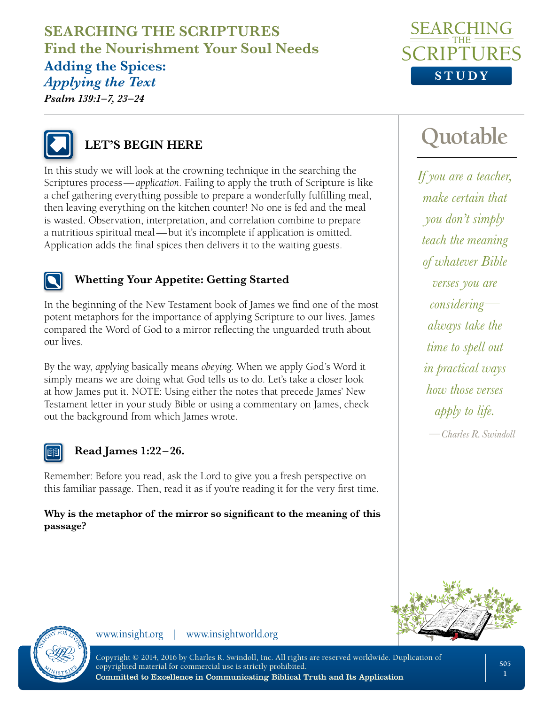## **SEARCHING THE SCRIPTURES Find the Nourishment Your Soul Needs Adding the Spices:**  *Applying the Text Psalm 139:1–7, 23–24*





# **LET'S BEGIN HERE**

In this study we will look at the crowning technique in the searching the Scriptures process—*application*. Failing to apply the truth of Scripture is like a chef gathering everything possible to prepare a wonderfully fulfilling meal, then leaving everything on the kitchen counter! No one is fed and the meal is wasted. Observation, interpretation, and correlation combine to prepare a nutritious spiritual meal—but it's incomplete if application is omitted. Application adds the final spices then delivers it to the waiting guests.



### **Whetting Your Appetite: Getting Started**

In the beginning of the New Testament book of James we find one of the most potent metaphors for the importance of applying Scripture to our lives. James compared the Word of God to a mirror reflecting the unguarded truth about our lives.

By the way, *applying* basically means *obeying*. When we apply God's Word it simply means we are doing what God tells us to do. Let's take a closer look at how James put it. NOTE: Using either the notes that precede James' New Testament letter in your study Bible or using a commentary on James, check out the background from which James wrote.



### **Read James 1:22 – 26.**

Remember: Before you read, ask the Lord to give you a fresh perspective on this familiar passage. Then, read it as if you're reading it for the very first time.

**Why is the metaphor of the mirror so significant to the meaning of this passage?** 

# **Quotable**

*If you are a teacher, make certain that you don't simply teach the meaning of whatever Bible verses you are considering always take the time to spell out in practical ways how those verses apply to life.*

*—Charles R. Swindoll*





www.insight.org | www.insightworld.org

Copyright © 2014, 2016 by Charles R. Swindoll, Inc. All rights are reserved worldwide. Duplication of copyrighted material for commercial use is strictly prohibited. Committed to Excellence in Communicating Biblical Truth and Its Application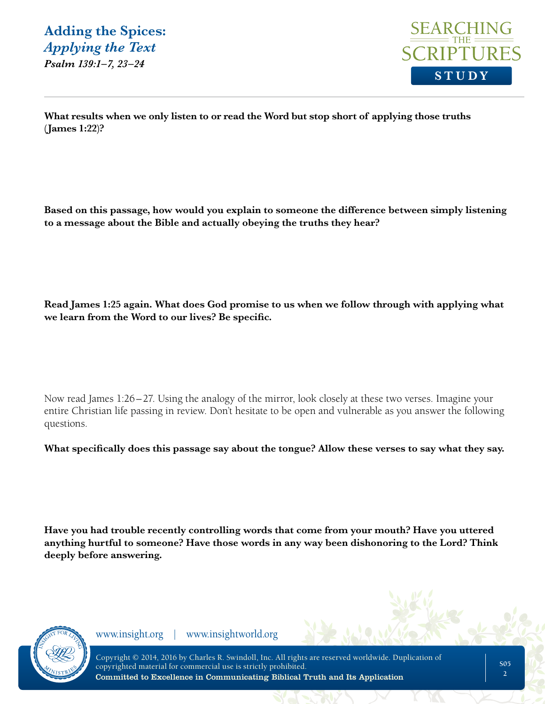

**What results when we only listen to or read the Word but stop short of applying those truths (James 1:22)?** 

**Based on this passage, how would you explain to someone the difference between simply listening to a message about the Bible and actually obeying the truths they hear?** 

**Read James 1:25 again. What does God promise to us when we follow through with applying what we learn from the Word to our lives? Be specific.**

Now read James 1:26–27. Using the analogy of the mirror, look closely at these two verses. Imagine your entire Christian life passing in review. Don't hesitate to be open and vulnerable as you answer the following questions.

**What specifically does this passage say about the tongue? Allow these verses to say what they say.** 

**Have you had trouble recently controlling words that come from your mouth? Have you uttered anything hurtful to someone? Have those words in any way been dishonoring to the Lord? Think deeply before answering.**

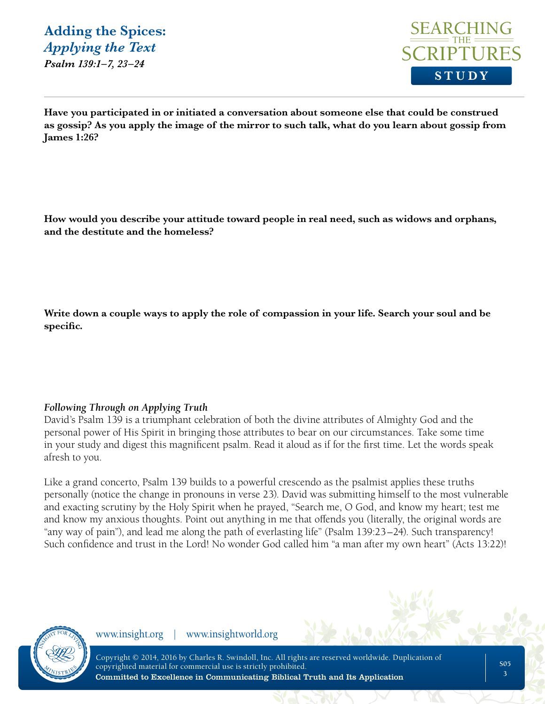

**Have you participated in or initiated a conversation about someone else that could be construed as gossip? As you apply the image of the mirror to such talk, what do you learn about gossip from James 1:26?** 

**How would you describe your attitude toward people in real need, such as widows and orphans, and the destitute and the homeless?**

**Write down a couple ways to apply the role of compassion in your life. Search your soul and be specific.** 

#### *Following Through on Applying Truth*

David's Psalm 139 is a triumphant celebration of both the divine attributes of Almighty God and the personal power of His Spirit in bringing those attributes to bear on our circumstances. Take some time in your study and digest this magnificent psalm. Read it aloud as if for the first time. Let the words speak afresh to you.

Like a grand concerto, Psalm 139 builds to a powerful crescendo as the psalmist applies these truths personally (notice the change in pronouns in verse 23). David was submitting himself to the most vulnerable and exacting scrutiny by the Holy Spirit when he prayed, "Search me, O God, and know my heart; test me and know my anxious thoughts. Point out anything in me that offends you (literally, the original words are "any way of pain"), and lead me along the path of everlasting life" (Psalm 139:23–24). Such transparency! Such confidence and trust in the Lord! No wonder God called him "a man after my own heart" (Acts 13:22)!

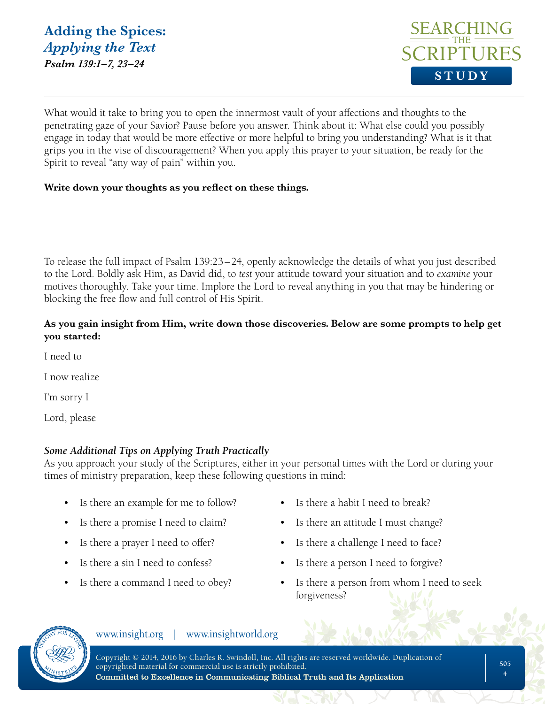

What would it take to bring you to open the innermost vault of your affections and thoughts to the penetrating gaze of your Savior? Pause before you answer. Think about it: What else could you possibly engage in today that would be more effective or more helpful to bring you understanding? What is it that grips you in the vise of discouragement? When you apply this prayer to your situation, be ready for the Spirit to reveal "any way of pain" within you.

#### **Write down your thoughts as you reflect on these things.**

To release the full impact of Psalm 139:23–24, openly acknowledge the details of what you just described to the Lord. Boldly ask Him, as David did, to *test* your attitude toward your situation and to *examine* your motives thoroughly. Take your time. Implore the Lord to reveal anything in you that may be hindering or blocking the free flow and full control of His Spirit.

#### **As you gain insight from Him, write down those discoveries. Below are some prompts to help get you started:**

I need to

I now realize

I'm sorry I

Lord, please

#### *Some Additional Tips on Applying Truth Practically*

As you approach your study of the Scriptures, either in your personal times with the Lord or during your times of ministry preparation, keep these following questions in mind:

- Is there an example for me to follow? Is there a habit I need to break?
- 
- 
- 
- 
- 
- Is there a promise I need to claim? Is there an attitude I must change?
- Is there a prayer I need to offer? Is there a challenge I need to face?
	- Is there a sin I need to confess? Is there a person I need to forgive?
	- Is there a command I need to obey? Is there a person from whom I need to seek forgiveness?

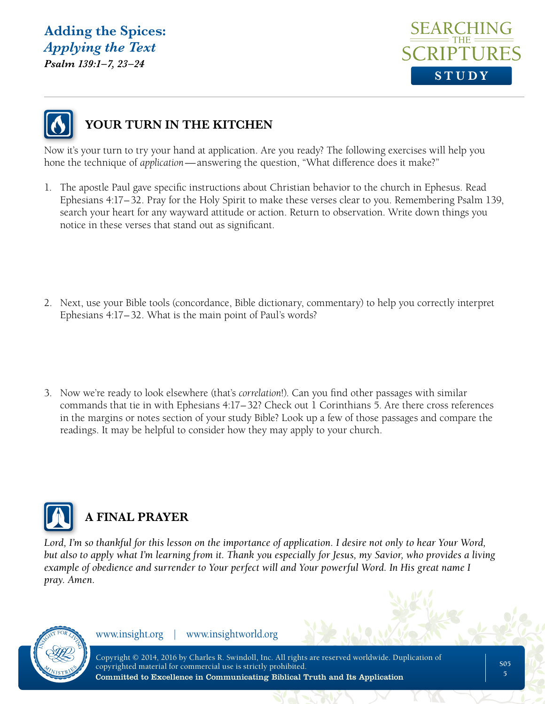### **Adding the Spices:**  *Applying the Text Psalm 139:1–7, 23–24*





# **YOUR TURN IN THE KITCHEN**

Now it's your turn to try your hand at application. Are you ready? The following exercises will help you hone the technique of *application*—answering the question, "What difference does it make?"

- 1. The apostle Paul gave specific instructions about Christian behavior to the church in Ephesus. Read Ephesians 4:17–32. Pray for the Holy Spirit to make these verses clear to you. Remembering Psalm 139, search your heart for any wayward attitude or action. Return to observation. Write down things you notice in these verses that stand out as significant.
- 2. Next, use your Bible tools (concordance, Bible dictionary, commentary) to help you correctly interpret Ephesians 4:17–32. What is the main point of Paul's words?
- 3. Now we're ready to look elsewhere (that's *correlation*!). Can you find other passages with similar commands that tie in with Ephesians 4:17–32? Check out 1 Corinthians 5. Are there cross references in the margins or notes section of your study Bible? Look up a few of those passages and compare the readings. It may be helpful to consider how they may apply to your church.



# **A FINAL PRAYER**

*Lord, I'm so thankful for this lesson on the importance of application. I desire not only to hear Your Word, but also to apply what I'm learning from it. Thank you especially for Jesus, my Savior, who provides a living example of obedience and surrender to Your perfect will and Your powerful Word. In His great name I pray. Amen.*